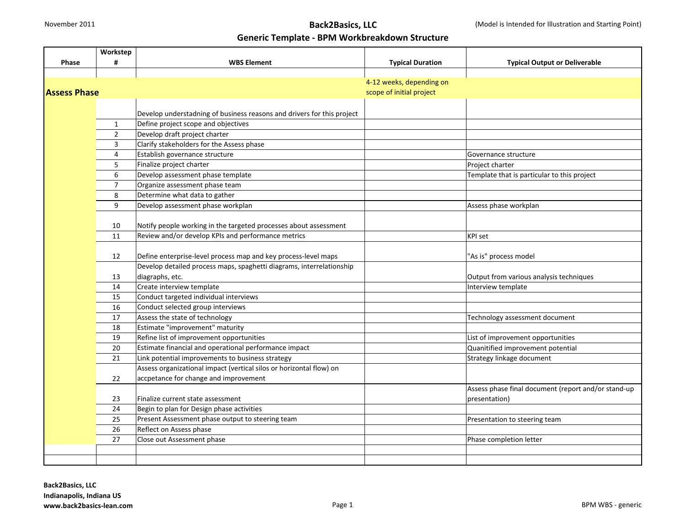|                     | Workstep       |                                                                        |                          |                                                     |  |
|---------------------|----------------|------------------------------------------------------------------------|--------------------------|-----------------------------------------------------|--|
| Phase               | #              | <b>WBS Element</b>                                                     | <b>Typical Duration</b>  | <b>Typical Output or Deliverable</b>                |  |
|                     |                |                                                                        |                          |                                                     |  |
|                     |                |                                                                        | 4-12 weeks, depending on |                                                     |  |
| <b>Assess Phase</b> |                |                                                                        | scope of initial project |                                                     |  |
|                     |                |                                                                        |                          |                                                     |  |
|                     |                | Develop understadning of business reasons and drivers for this project |                          |                                                     |  |
|                     | $\mathbf{1}$   | Define project scope and objectives                                    |                          |                                                     |  |
|                     | $\overline{2}$ | Develop draft project charter                                          |                          |                                                     |  |
|                     | 3              | Clarify stakeholders for the Assess phase                              |                          |                                                     |  |
|                     | 4              | Establish governance structure                                         |                          | Governance structure                                |  |
|                     | 5              | Finalize project charter                                               |                          | Project charter                                     |  |
|                     | 6              | Develop assessment phase template                                      |                          | Template that is particular to this project         |  |
|                     | $\overline{7}$ | Organize assessment phase team                                         |                          |                                                     |  |
|                     | 8              | Determine what data to gather                                          |                          |                                                     |  |
|                     | 9              | Develop assessment phase workplan                                      |                          | Assess phase workplan                               |  |
|                     |                |                                                                        |                          |                                                     |  |
|                     | 10             | Notify people working in the targeted processes about assessment       |                          |                                                     |  |
|                     | 11             | Review and/or develop KPIs and performance metrics                     |                          | KPI set                                             |  |
|                     |                |                                                                        |                          |                                                     |  |
|                     | 12             | Define enterprise-level process map and key process-level maps         |                          | "As is" process model                               |  |
|                     |                | Develop detailed process maps, spaghetti diagrams, interrelationship   |                          |                                                     |  |
|                     | 13             | diagraphs, etc.                                                        |                          | Output from various analysis techniques             |  |
|                     | 14             | Create interview template                                              |                          | Interview template                                  |  |
|                     | 15             | Conduct targeted individual interviews                                 |                          |                                                     |  |
|                     | 16             | Conduct selected group interviews                                      |                          |                                                     |  |
|                     | 17             | Assess the state of technology                                         |                          | Technology assessment document                      |  |
|                     | 18             | Estimate "improvement" maturity                                        |                          |                                                     |  |
|                     | 19             | Refine list of improvement opportunities                               |                          | List of improvement opportunities                   |  |
|                     | 20             | Estimate financial and operational performance impact                  |                          | Quanitified improvement potential                   |  |
|                     | 21             | Link potential improvements to business strategy                       |                          | Strategy linkage document                           |  |
|                     |                | Assess organizational impact (vertical silos or horizontal flow) on    |                          |                                                     |  |
|                     | 22             | accpetance for change and improvement                                  |                          |                                                     |  |
|                     |                |                                                                        |                          | Assess phase final document (report and/or stand-up |  |
|                     | 23             | Finalize current state assessment                                      |                          | presentation)                                       |  |
|                     | 24             | Begin to plan for Design phase activities                              |                          |                                                     |  |
|                     | 25             | Present Assessment phase output to steering team                       |                          | Presentation to steering team                       |  |
|                     | 26             | Reflect on Assess phase                                                |                          |                                                     |  |
|                     | 27             | Close out Assessment phase                                             |                          | Phase completion letter                             |  |
|                     |                |                                                                        |                          |                                                     |  |
|                     |                |                                                                        |                          |                                                     |  |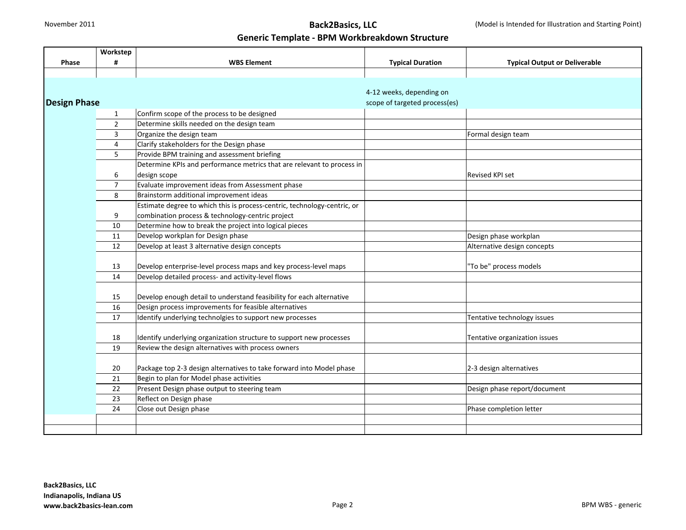## November 2011 **Back2Basics, LLC**

#### **Generic Template - BPM Workbreakdown Structure**

|                     | Workstep       |                                                                          |                               |                                      |
|---------------------|----------------|--------------------------------------------------------------------------|-------------------------------|--------------------------------------|
| <b>Phase</b>        | #              | <b>WBS Element</b>                                                       | <b>Typical Duration</b>       | <b>Typical Output or Deliverable</b> |
|                     |                |                                                                          |                               |                                      |
|                     |                |                                                                          |                               |                                      |
|                     |                |                                                                          | 4-12 weeks, depending on      |                                      |
| <b>Design Phase</b> |                |                                                                          | scope of targeted process(es) |                                      |
|                     | $\mathbf{1}$   | Confirm scope of the process to be designed                              |                               |                                      |
|                     | $\overline{2}$ | Determine skills needed on the design team                               |                               |                                      |
|                     | 3              | Organize the design team                                                 |                               | Formal design team                   |
|                     | $\overline{4}$ | Clarify stakeholders for the Design phase                                |                               |                                      |
|                     | 5              | Provide BPM training and assessment briefing                             |                               |                                      |
|                     |                | Determine KPIs and performance metrics that are relevant to process in   |                               |                                      |
|                     | 6              | design scope                                                             |                               | <b>Revised KPI set</b>               |
|                     | $\overline{7}$ | Evaluate improvement ideas from Assessment phase                         |                               |                                      |
|                     | 8              | Brainstorm additional improvement ideas                                  |                               |                                      |
|                     |                | Estimate degree to which this is process-centric, technology-centric, or |                               |                                      |
|                     | 9              | combination process & technology-centric project                         |                               |                                      |
|                     | 10             | Determine how to break the project into logical pieces                   |                               |                                      |
|                     | 11             | Develop workplan for Design phase                                        |                               | Design phase workplan                |
|                     | 12             | Develop at least 3 alternative design concepts                           |                               | Alternative design concepts          |
|                     |                |                                                                          |                               |                                      |
|                     | 13             | Develop enterprise-level process maps and key process-level maps         |                               | "To be" process models               |
|                     | 14             | Develop detailed process- and activity-level flows                       |                               |                                      |
|                     |                |                                                                          |                               |                                      |
|                     | 15             | Develop enough detail to understand feasibility for each alternative     |                               |                                      |
|                     | 16             | Design process improvements for feasible alternatives                    |                               |                                      |
|                     | 17             | Identify underlying technolgies to support new processes                 |                               | Tentative technology issues          |
|                     |                |                                                                          |                               |                                      |
|                     | 18             | Identify underlying organization structure to support new processes      |                               | Tentative organization issues        |
|                     | 19             | Review the design alternatives with process owners                       |                               |                                      |
|                     |                |                                                                          |                               |                                      |
|                     | 20             | Package top 2-3 design alternatives to take forward into Model phase     |                               | 2-3 design alternatives              |
|                     | 21             | Begin to plan for Model phase activities                                 |                               |                                      |
|                     | 22             | Present Design phase output to steering team                             |                               | Design phase report/document         |
|                     | 23             | Reflect on Design phase                                                  |                               |                                      |
|                     | 24             | Close out Design phase                                                   |                               | Phase completion letter              |
|                     |                |                                                                          |                               |                                      |
|                     |                |                                                                          |                               |                                      |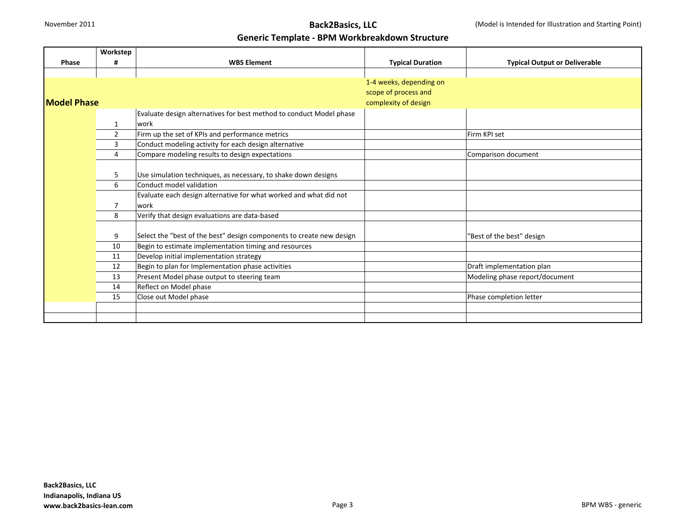|                    | Workstep       |                                                                      |                         |                                      |
|--------------------|----------------|----------------------------------------------------------------------|-------------------------|--------------------------------------|
| <b>Phase</b>       | #              | <b>WBS Element</b>                                                   | <b>Typical Duration</b> | <b>Typical Output or Deliverable</b> |
|                    |                |                                                                      |                         |                                      |
|                    |                |                                                                      | 1-4 weeks, depending on |                                      |
|                    |                |                                                                      | scope of process and    |                                      |
| <b>Model Phase</b> |                |                                                                      | complexity of design    |                                      |
|                    |                | Evaluate design alternatives for best method to conduct Model phase  |                         |                                      |
|                    | $\mathbf{1}$   | work                                                                 |                         |                                      |
|                    | $\overline{2}$ | Firm up the set of KPIs and performance metrics                      |                         | Firm KPI set                         |
|                    | 3              | Conduct modeling activity for each design alternative                |                         |                                      |
|                    | 4              | Compare modeling results to design expectations                      |                         | Comparison document                  |
|                    |                |                                                                      |                         |                                      |
|                    | 5              | Use simulation techniques, as necessary, to shake down designs       |                         |                                      |
|                    | 6              | Conduct model validation                                             |                         |                                      |
|                    |                | Evaluate each design alternative for what worked and what did not    |                         |                                      |
|                    | $\overline{7}$ | lwork                                                                |                         |                                      |
|                    | 8              | Verify that design evaluations are data-based                        |                         |                                      |
|                    |                |                                                                      |                         |                                      |
|                    | 9              | Select the "best of the best" design components to create new design |                         | 'Best of the best" design            |
|                    | 10             | Begin to estimate implementation timing and resources                |                         |                                      |
|                    | 11             | Develop initial implementation strategy                              |                         |                                      |
|                    | 12             | Begin to plan for Implementation phase activities                    |                         | Draft implementation plan            |
|                    | 13             | Present Model phase output to steering team                          |                         | Modeling phase report/document       |
|                    | 14             | Reflect on Model phase                                               |                         |                                      |
|                    | 15             | Close out Model phase                                                |                         | Phase completion letter              |
|                    |                |                                                                      |                         |                                      |
|                    |                |                                                                      |                         |                                      |

#### **Back2Basics, LLC Indianapolis, Indiana US www.back2basics-lean.com** BPM WBS - generic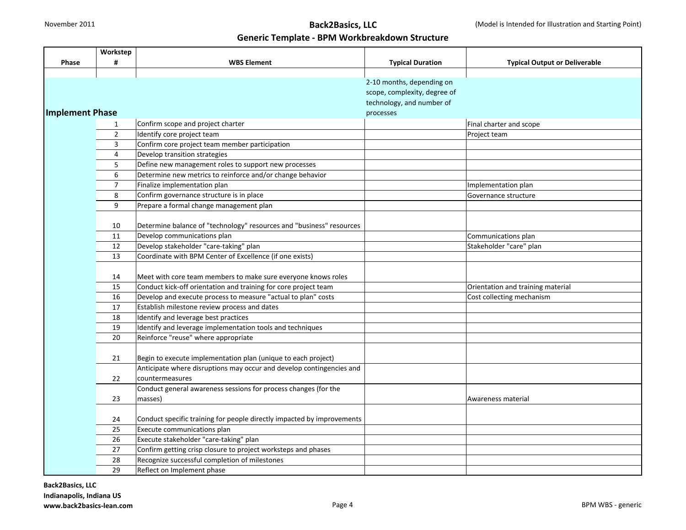|                        | Workstep       |                                                                        |                                        |                                      |
|------------------------|----------------|------------------------------------------------------------------------|----------------------------------------|--------------------------------------|
| <b>Phase</b>           | #              | <b>WBS Element</b>                                                     | <b>Typical Duration</b>                | <b>Typical Output or Deliverable</b> |
|                        |                |                                                                        |                                        |                                      |
|                        |                |                                                                        | 2-10 months, depending on              |                                      |
|                        |                |                                                                        | scope, complexity, degree of           |                                      |
|                        |                |                                                                        |                                        |                                      |
| <b>Implement Phase</b> |                |                                                                        | technology, and number of<br>processes |                                      |
|                        | $\mathbf{1}$   | Confirm scope and project charter                                      |                                        | Final charter and scope              |
|                        | $\overline{2}$ | Identify core project team                                             |                                        | Project team                         |
|                        | $\overline{3}$ | Confirm core project team member participation                         |                                        |                                      |
|                        | $\overline{4}$ | Develop transition strategies                                          |                                        |                                      |
|                        | 5              | Define new management roles to support new processes                   |                                        |                                      |
|                        | 6              | Determine new metrics to reinforce and/or change behavior              |                                        |                                      |
|                        | $\overline{7}$ | Finalize implementation plan                                           |                                        | Implementation plan                  |
|                        | 8              | Confirm governance structure is in place                               |                                        | Governance structure                 |
|                        | 9              | Prepare a formal change management plan                                |                                        |                                      |
|                        |                |                                                                        |                                        |                                      |
|                        | 10             | Determine balance of "technology" resources and "business" resources   |                                        |                                      |
|                        | 11             | Develop communications plan                                            |                                        | Communications plan                  |
|                        | 12             | Develop stakeholder "care-taking" plan                                 |                                        | Stakeholder "care" plan              |
|                        | 13             | Coordinate with BPM Center of Excellence (if one exists)               |                                        |                                      |
|                        |                |                                                                        |                                        |                                      |
|                        | 14             | Meet with core team members to make sure everyone knows roles          |                                        |                                      |
|                        | 15             | Conduct kick-off orientation and training for core project team        |                                        | Orientation and training material    |
|                        | 16             | Develop and execute process to measure "actual to plan" costs          |                                        | Cost collecting mechanism            |
|                        | 17             | Establish milestone review process and dates                           |                                        |                                      |
|                        | 18             | Identify and leverage best practices                                   |                                        |                                      |
|                        | 19             | Identify and leverage implementation tools and techniques              |                                        |                                      |
|                        | 20             | Reinforce "reuse" where appropriate                                    |                                        |                                      |
|                        |                |                                                                        |                                        |                                      |
|                        | 21             | Begin to execute implementation plan (unique to each project)          |                                        |                                      |
|                        |                | Anticipate where disruptions may occur and develop contingencies and   |                                        |                                      |
|                        | 22             | countermeasures                                                        |                                        |                                      |
|                        |                | Conduct general awareness sessions for process changes (for the        |                                        |                                      |
|                        | 23             | masses)                                                                |                                        | Awareness material                   |
|                        |                |                                                                        |                                        |                                      |
|                        | 24             | Conduct specific training for people directly impacted by improvements |                                        |                                      |
|                        | 25             | Execute communications plan                                            |                                        |                                      |
|                        | 26             | Execute stakeholder "care-taking" plan                                 |                                        |                                      |
|                        | 27             | Confirm getting crisp closure to project worksteps and phases          |                                        |                                      |
|                        | 28             | Recognize successful completion of milestones                          |                                        |                                      |
|                        | 29             | Reflect on Implement phase                                             |                                        |                                      |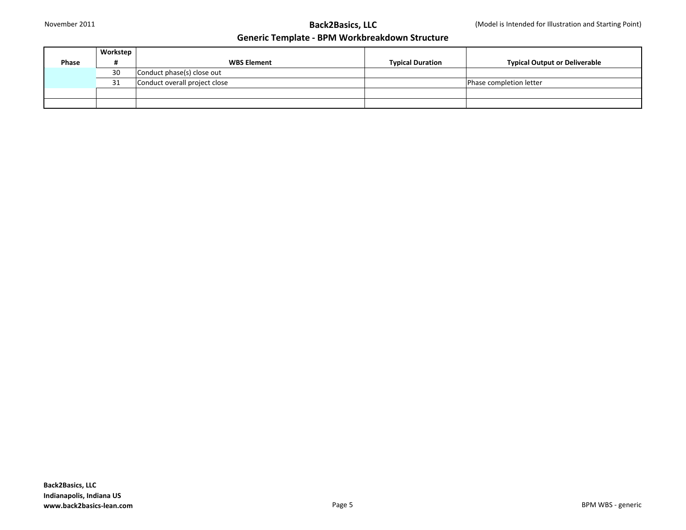|       | Workstep |                               |                         |                                      |
|-------|----------|-------------------------------|-------------------------|--------------------------------------|
| Phase |          | <b>WBS Element</b>            | <b>Typical Duration</b> | <b>Typical Output or Deliverable</b> |
|       | 30       | Conduct phase(s) close out    |                         |                                      |
|       | 31       | Conduct overall project close |                         | Phase completion letter              |
|       |          |                               |                         |                                      |
|       |          |                               |                         |                                      |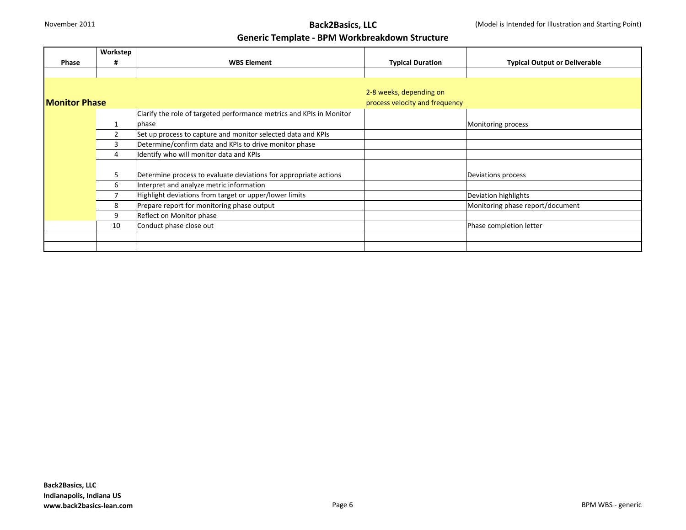## November 2011 **Back2Basics, LLC**

#### **Generic Template - BPM Workbreakdown Structure**

|                       | Workstep       |                                                                      |                                |                                      |
|-----------------------|----------------|----------------------------------------------------------------------|--------------------------------|--------------------------------------|
| Phase                 | #              | <b>WBS Element</b>                                                   | <b>Typical Duration</b>        | <b>Typical Output or Deliverable</b> |
|                       |                |                                                                      |                                |                                      |
|                       |                |                                                                      |                                |                                      |
|                       |                |                                                                      | 2-8 weeks, depending on        |                                      |
| <b>IMonitor Phase</b> |                |                                                                      | process velocity and frequency |                                      |
|                       |                | Clarify the role of targeted performance metrics and KPIs in Monitor |                                |                                      |
|                       |                | phase                                                                |                                | Monitoring process                   |
|                       | $\overline{2}$ | Set up process to capture and monitor selected data and KPIs         |                                |                                      |
|                       | 3              | Determine/confirm data and KPIs to drive monitor phase               |                                |                                      |
|                       | 4              | Identify who will monitor data and KPIs                              |                                |                                      |
|                       |                |                                                                      |                                |                                      |
|                       | 5              | Determine process to evaluate deviations for appropriate actions     |                                | Deviations process                   |
|                       | 6              | Interpret and analyze metric information                             |                                |                                      |
|                       | 7              | Highlight deviations from target or upper/lower limits               |                                | Deviation highlights                 |
|                       | 8              | Prepare report for monitoring phase output                           |                                | Monitoring phase report/document     |
|                       | 9              | Reflect on Monitor phase                                             |                                |                                      |
|                       | 10             | Conduct phase close out                                              |                                | Phase completion letter              |
|                       |                |                                                                      |                                |                                      |
|                       |                |                                                                      |                                |                                      |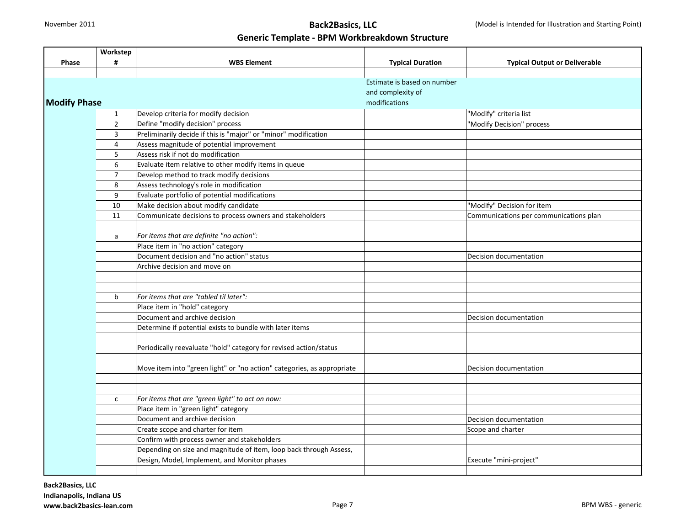# November 2011 **Back2Basics, LLC**

### **Generic Template - BPM Workbreakdown Structure**

|                     | Workstep       |                                                                        |                                                  |                                        |
|---------------------|----------------|------------------------------------------------------------------------|--------------------------------------------------|----------------------------------------|
| Phase               | #              | <b>WBS Element</b>                                                     | <b>Typical Duration</b>                          | <b>Typical Output or Deliverable</b>   |
|                     |                |                                                                        |                                                  |                                        |
|                     |                |                                                                        | Estimate is based on number<br>and complexity of |                                        |
|                     |                |                                                                        |                                                  |                                        |
| <b>Modify Phase</b> |                |                                                                        | modifications                                    |                                        |
|                     | $\mathbf{1}$   | Develop criteria for modify decision                                   |                                                  | "Modify" criteria list                 |
|                     | $\overline{2}$ | Define "modify decision" process                                       |                                                  | "Modify Decision" process              |
|                     | 3              | Preliminarily decide if this is "major" or "minor" modification        |                                                  |                                        |
|                     | 4              | Assess magnitude of potential improvement                              |                                                  |                                        |
|                     | 5              | Assess risk if not do modification                                     |                                                  |                                        |
|                     | 6              | Evaluate item relative to other modify items in queue                  |                                                  |                                        |
|                     | $\overline{7}$ | Develop method to track modify decisions                               |                                                  |                                        |
|                     | 8              | Assess technology's role in modification                               |                                                  |                                        |
|                     | 9              | Evaluate portfolio of potential modifications                          |                                                  |                                        |
|                     | 10             | Make decision about modify candidate                                   |                                                  | "Modify" Decision for item             |
|                     | 11             | Communicate decisions to process owners and stakeholders               |                                                  | Communications per communications plan |
|                     |                |                                                                        |                                                  |                                        |
|                     | a              | For items that are definite "no action":                               |                                                  |                                        |
|                     |                | Place item in "no action" category                                     |                                                  |                                        |
|                     |                | Document decision and "no action" status                               |                                                  | Decision documentation                 |
|                     |                | Archive decision and move on                                           |                                                  |                                        |
|                     |                |                                                                        |                                                  |                                        |
|                     |                |                                                                        |                                                  |                                        |
|                     | b              | For items that are "tabled til later":                                 |                                                  |                                        |
|                     |                | Place item in "hold" category                                          |                                                  |                                        |
|                     |                | Document and archive decision                                          |                                                  | Decision documentation                 |
|                     |                | Determine if potential exists to bundle with later items               |                                                  |                                        |
|                     |                |                                                                        |                                                  |                                        |
|                     |                | Periodically reevaluate "hold" category for revised action/status      |                                                  |                                        |
|                     |                |                                                                        |                                                  |                                        |
|                     |                | Move item into "green light" or "no action" categories, as appropriate |                                                  | Decision documentation                 |
|                     |                |                                                                        |                                                  |                                        |
|                     |                |                                                                        |                                                  |                                        |
|                     | $\mathsf{C}$   | For items that are "green light" to act on now:                        |                                                  |                                        |
|                     |                | Place item in "green light" category                                   |                                                  |                                        |
|                     |                | Document and archive decision                                          |                                                  | Decision documentation                 |
|                     |                | Create scope and charter for item                                      |                                                  | Scope and charter                      |
|                     |                | Confirm with process owner and stakeholders                            |                                                  |                                        |
|                     |                | Depending on size and magnitude of item, loop back through Assess,     |                                                  |                                        |
|                     |                | Design, Model, Implement, and Monitor phases                           |                                                  | Execute "mini-project"                 |
|                     |                |                                                                        |                                                  |                                        |